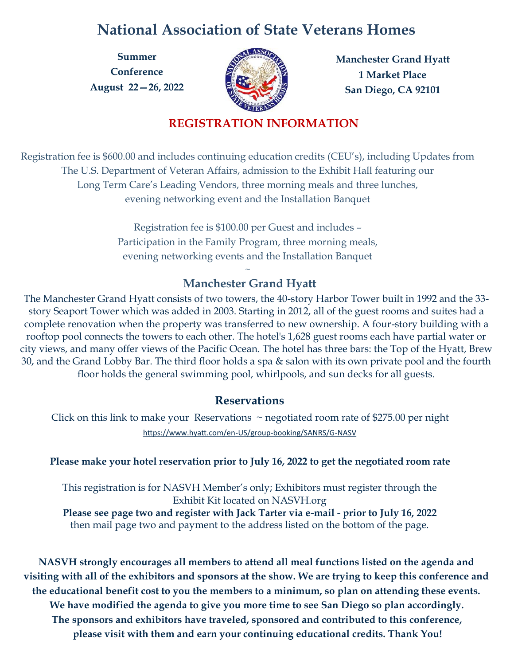# **National Association of State Veterans Homes**

**Summer Conference August 22—26, 2022** 



**Manchester Grand Hyatt 1 Market Place San Diego, CA 92101**

## **REGISTRATION INFORMATION**

Registration fee is \$600.00 and includes continuing education credits (CEU's), including Updates from The U.S. Department of Veteran Affairs, admission to the Exhibit Hall featuring our Long Term Care's Leading Vendors, three morning meals and three lunches, evening networking event and the Installation Banquet

> Registration fee is \$100.00 per Guest and includes – Participation in the Family Program, three morning meals, evening networking events and the Installation Banquet

### $\sim$ **Manchester Grand Hyatt**

The Manchester Grand Hyatt consists of two towers, the 40-story Harbor Tower built in 1992 and the 33 story Seaport Tower which was added in 2003. Starting in 2012, all of the guest rooms and suites had a complete renovation when the property was transferred to new ownership. A four-story building with a rooftop pool connects the towers to each other. The hotel's 1,628 guest rooms each have partial water or city views, and many offer views of the [Pacific Ocean.](https://en.wikipedia.org/wiki/Pacific_Ocean) The hotel has three bars: the Top of the Hyatt, Brew 30, and the Grand Lobby Bar. The third floor holds a spa & salon with its own private pool and the fourth floor holds the general swimming pool, whirlpools, and sun decks for all guests.

### **Reservations**

Click on this link to make your Reservations  $\sim$  negotiated room rate of \$275.00 per night [https://www.hyatt.com/en](https://www.hyatt.com/en-US/group-booking/SANRS/G-NASV)-US/group-booking/SANRS/G-NASV

### **Please make your hotel reservation prior to July 16, 2022 to get the negotiated room rate**

This registration is for NASVH Member's only; Exhibitors must register through the Exhibit Kit located on NASVH.org

**Please see page two and register with Jack Tarter via e-mail - prior to July 16, 2022** then mail page two and payment to the address listed on the bottom of the page.

**NASVH strongly encourages all members to attend all meal functions listed on the agenda and visiting with all of the exhibitors and sponsors at the show. We are trying to keep this conference and the educational benefit cost to you the members to a minimum, so plan on attending these events. We have modified the agenda to give you more time to see San Diego so plan accordingly. The sponsors and exhibitors have traveled, sponsored and contributed to this conference, please visit with them and earn your continuing educational credits. Thank You!**